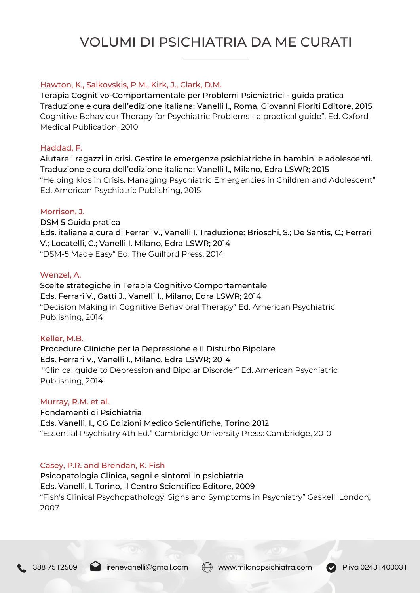# VOLUMI DI PSICHIATRIA DA ME CURATI

## Hawton, K., Salkovskis, P.M., Kirk, J., Clark, D.M.

Terapia Cognitivo-Comportamentale per Problemi Psichiatrici - guida pratica Traduzione e cura dell'edizione italiana: Vanelli I., Roma, Giovanni Fioriti Editore, 2015 Cognitive Behaviour Therapy for Psychiatric Problems - a practical guide". Ed. Oxford Medical Publication, 2010

## Haddad, F.

Aiutare i ragazzi in crisi. Gestire le emergenze psichiatriche in bambini e adolescenti. Traduzione e cura dell'edizione italiana: Vanelli I., Milano, Edra LSWR; 2015 "Helping kids in Crisis. Managing Psychiatric Emergencies in Children and Adolescent" Ed. American Psychiatric Publishing, 2015

## Morrison, J.

DSM 5 Guida pratica Eds. italiana a cura di Ferrari V., Vanelli I. Traduzione: Brioschi, S.; De Santis, C.; Ferrari V.; Locatelli, C.; Vanelli I. Milano, Edra LSWR; 2014 "DSM-5 Made Easy" Ed. The Guilford Press, 2014

#### Wenzel, A.

Scelte strategiche in Terapia Cognitivo Comportamentale Eds. Ferrari V., Gatti J., Vanelli I., Milano, Edra LSWR; 2014 "Decision Making in Cognitive Behavioral Therapy" Ed. American Psychiatric Publishing, 2014

#### Keller, M.B.

Procedure Cliniche per la Depressione e il Disturbo Bipolare Eds. Ferrari V., Vanelli I., Milano, Edra LSWR; 2014 "Clinical guide to Depression and Bipolar Disorder" Ed. American Psychiatric Publishing, 2014

#### Murray, R.M. et al.

Fondamenti di Psichiatria Eds. Vanelli, I., CG Edizioni Medico Scientifiche, Torino 2012 "Essential Psychiatry 4th Ed." Cambridge University Press: Cambridge, 2010

# Casey, P.R. and Brendan, K. Fish

Psicopatologia Clinica, segni e sintomi in psichiatria Eds. Vanelli, I. Torino, Il Centro Scientifico Editore, 2009 "Fish's Clinical Psychopathology: Signs and Symptoms in Psychiatry" Gaskell: London, 2007